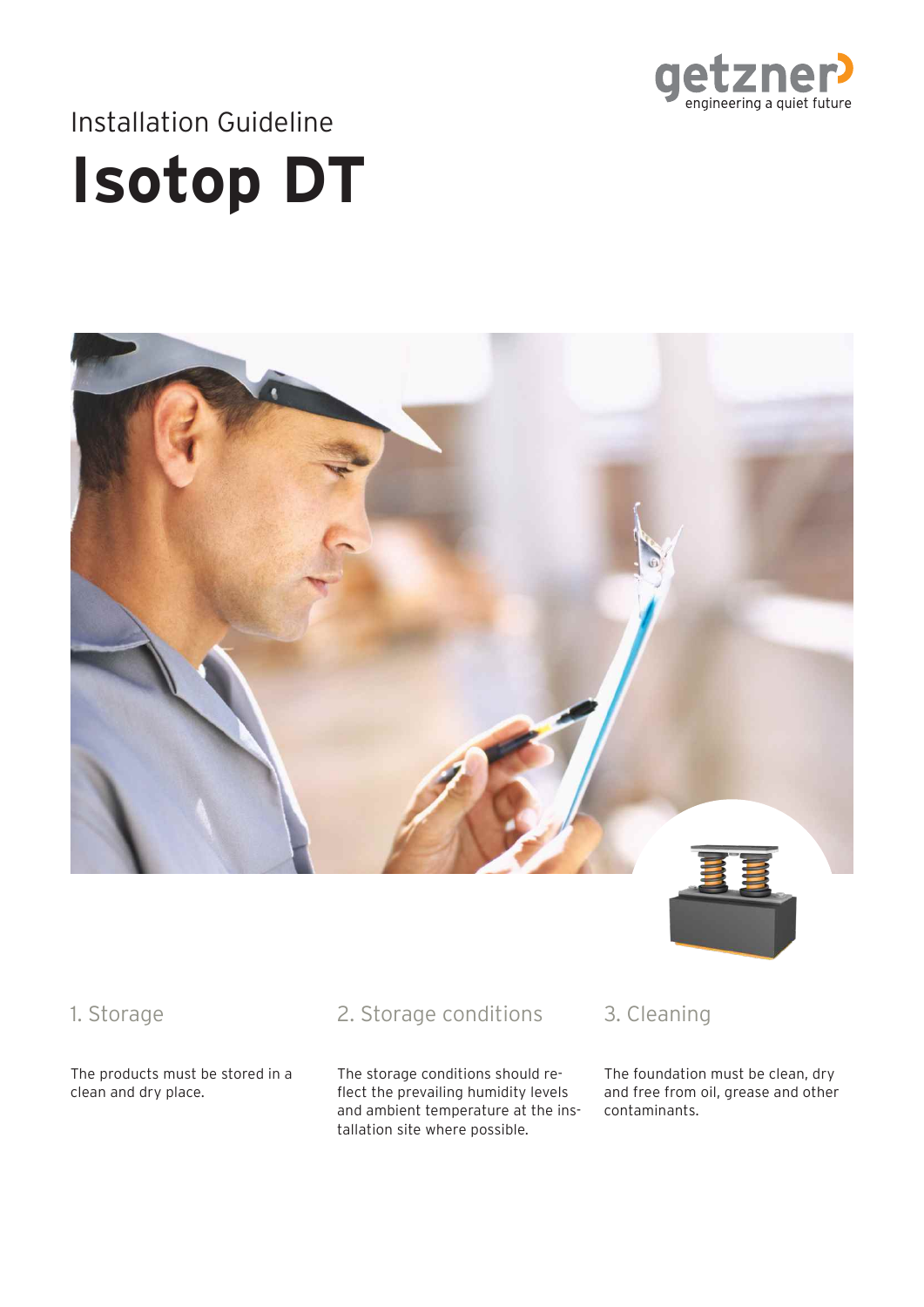

# **Isotop DT** Installation Guideline



#### 1. Storage

The products must be stored in a clean and dry place.

### 2. Storage conditions

The storage conditions should reflect the prevailing humidity levels and ambient temperature at the installation site where possible.

# 3. Cleaning

The foundation must be clean, dry and free from oil, grease and other contaminants.